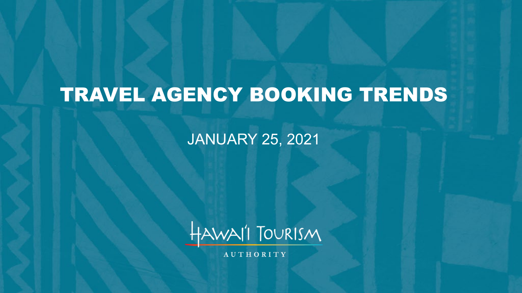# TRAVEL AGENCY BOOKING TRENDS

JANUARY 25, 2021



**AUTHORITY**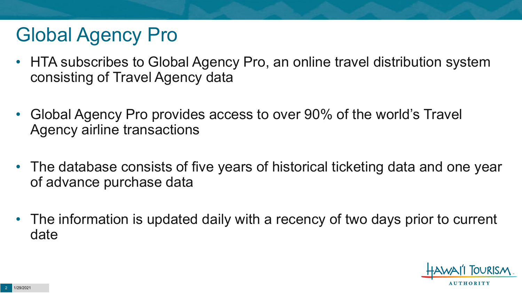# Global Agency Pro

- HTA subscribes to Global Agency Pro, an online travel distribution system consisting of Travel Agency data
- Global Agency Pro provides access to over 90% of the world's Travel Agency airline transactions
- The database consists of five years of historical ticketing data and one year of advance purchase data
- The information is updated daily with a recency of two days prior to current date

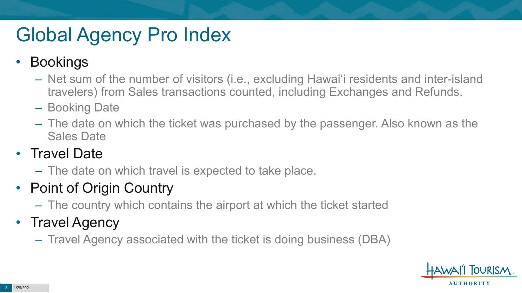# Global Agency Pro Index

### • Bookings

- Net sum of the number of visitors (i.e., excluding Hawai'i residents and inter-island travelers) from Sales transactions counted, including Exchanges and Refunds.
- Booking Date
- The date on which the ticket was purchased by the passenger. Also known as the Sales Date

### • Travel Date

– The date on which travel is expected to take place.

### • Point of Origin Country

– The country which contains the airport at which the ticket started

### • Travel Agency

– Travel Agency associated with the ticket is doing business (DBA)

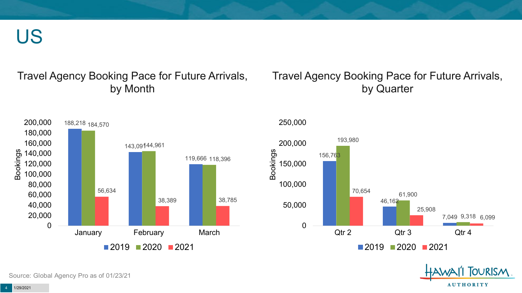US

#### Travel Agency Booking Pace for Future Arrivals, by Month

#### Travel Agency Booking Pace for Future Arrivals, by Quarter



250,000





Source: Global Agency Pro as of 01/23/21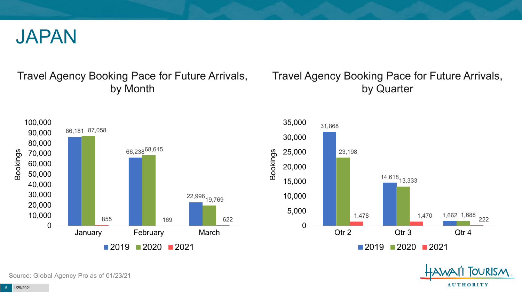

#### Travel Agency Booking Pace for Future Arrivals, by Month

#### Travel Agency Booking Pace for Future Arrivals, by Quarter





Source: Global Agency Pro as of 01/23/21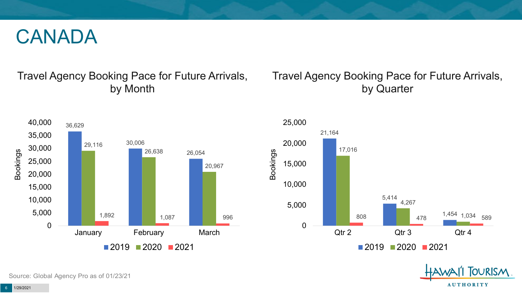## CANADA

#### Travel Agency Booking Pace for Future Arrivals, by Month

#### Travel Agency Booking Pace for Future Arrivals, by Quarter





OURISM.

**AUTHORITY** 

Source: Global Agency Pro as of 01/23/21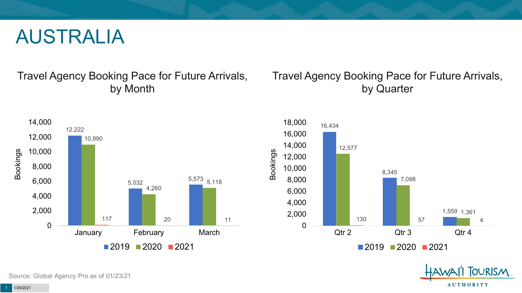## AUSTRALIA

Travel Agency Booking Pace for Future Arrivals, by Month

#### Travel Agency Booking Pace for Future Arrivals, by Quarter





OURISM. **AUTHORITY** 

Source: Global Agency Pro as of 01/23/21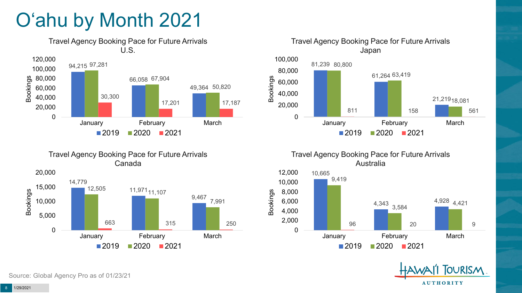# O'ahu by Month 2021



Travel Agency Booking Pace for Future Arrivals Canada





Travel Agency Booking Pace for Future Arrivals Australia





Source: Global Agency Pro as of 01/23/21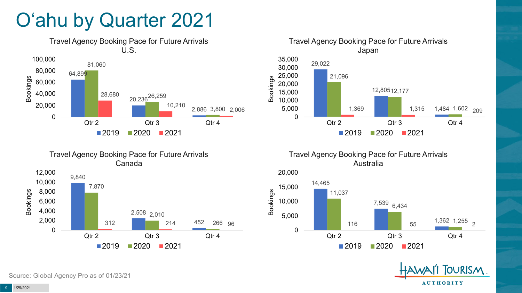# O'ahu by Quarter 2021





Travel Agency Booking Pace for Future Arrivals Australia





Canada 9,840 7,870 10,000 12,000



Travel Agency Booking Pace for Future Arrivals

Source: Global Agency Pro as of 01/23/21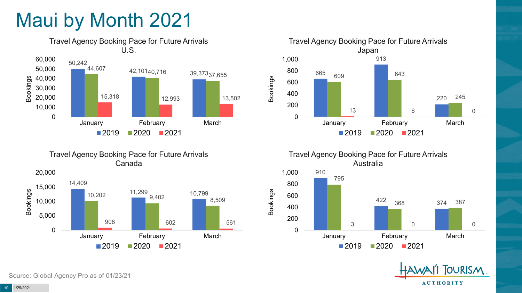# Maui by Month 2021



Travel Agency Booking Pace for Future Arrivals Canada





Travel Agency Booking Pace for Future Arrivals Australia

Bookings



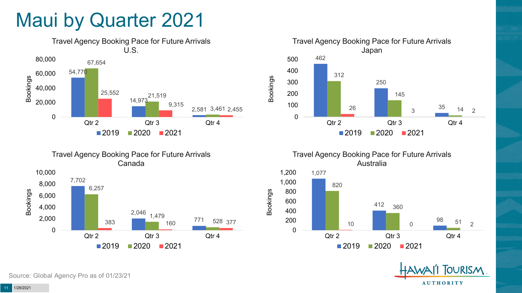## Maui by Quarter 2021







Travel Agency Booking Pace for Future Arrivals Australia



Bookings



Source: Global Agency Pro as of 01/23/21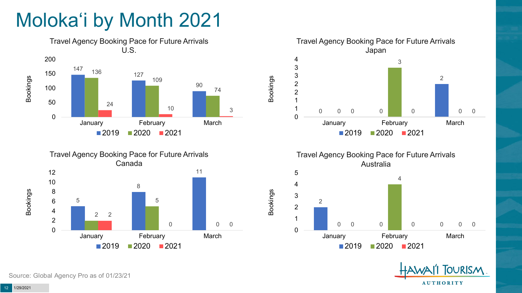# Moloka'i by Month 2021









Bookings

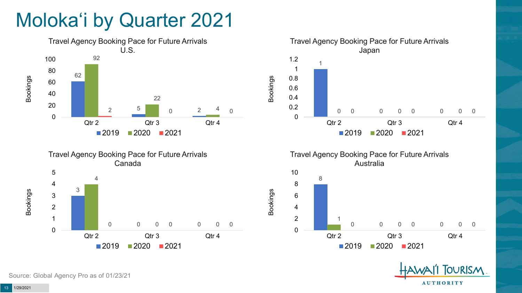# Moloka'i by Quarter 2021











Source: Global Agency Pro as of 01/23/21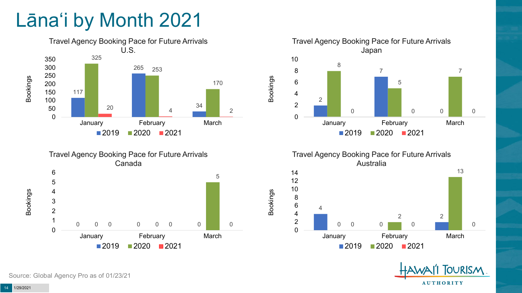# Lāna'i by Month 2021







Travel Agency Booking Pace for Future Arrivals Australia

Bookings



**FOURISM AUTHORITY** 

Source: Global Agency Pro as of 01/23/21

1/29/2021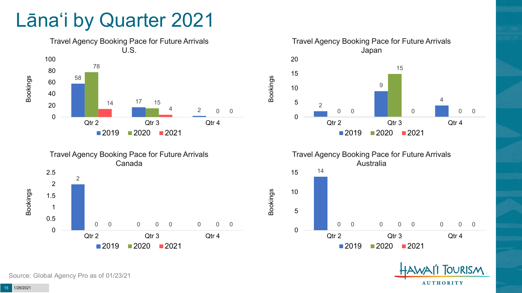## Lāna'i by Quarter 2021









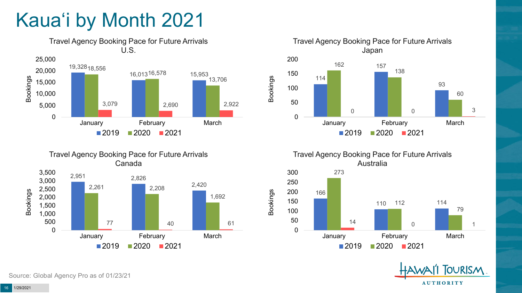# Kaua'i by Month 2021



Travel Agency Booking Pace for Future Arrivals Canada





Travel Agency Booking Pace for Future Arrivals Australia

Bookings



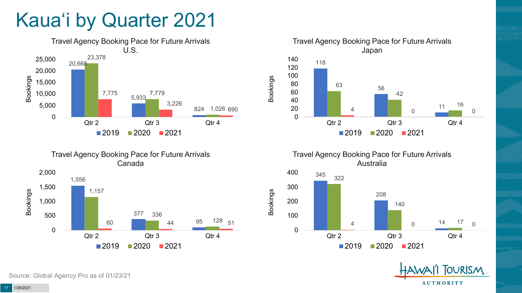# Kaua'i by Quarter 2021







Travel Agency Booking Pace for Future Arrivals Australia

Bookings





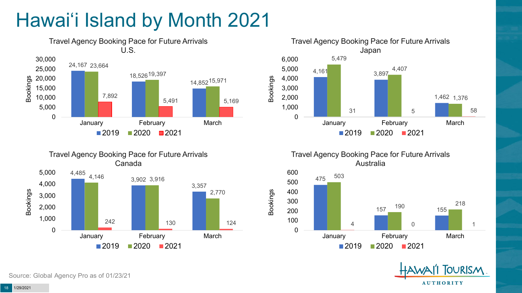# Hawai'i Island by Month 2021







Travel Agency Booking Pace for Future Arrivals Australia

Bookings





Source: Global Agency Pro as of 01/23/21